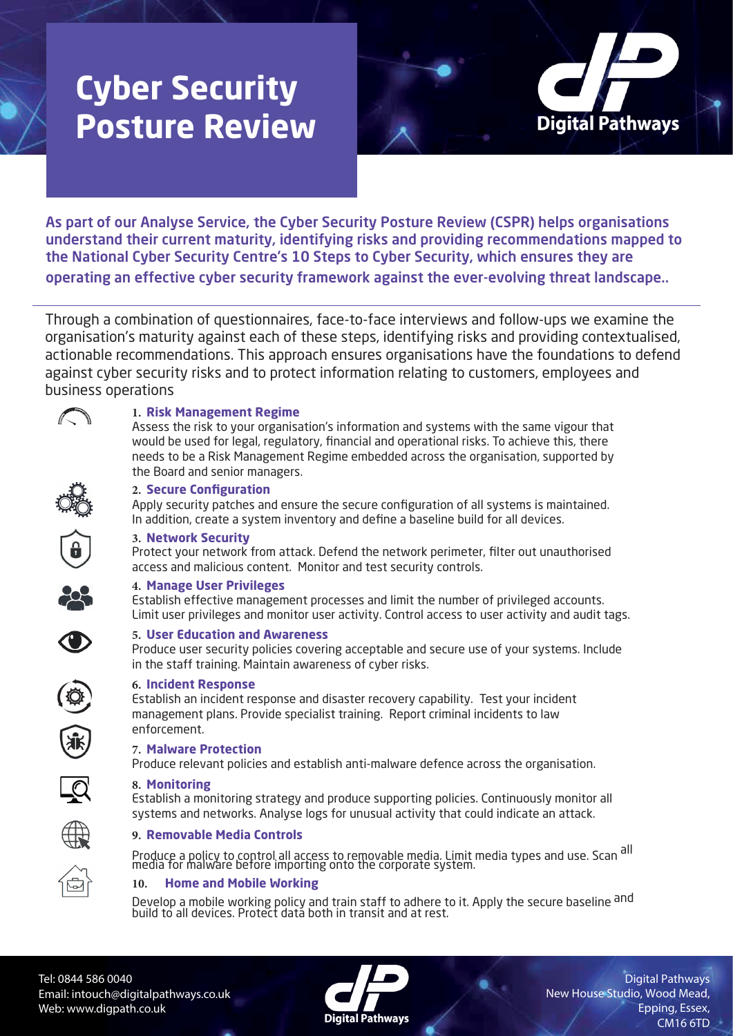# **Cyber Security Posture Review**



As part of our Analyse Service, the Cyber Security Posture Review (CSPR) helps organisations understand their current maturity, identifying risks and providing recommendations mapped to the National Cyber Security Centre's 10 Steps to Cyber Security, which ensures they are operating an effective cyber security framework against the ever-evolving threat landscape..

 Through a combination of questionnaires, face-to-face interviews and follow-ups we examine the organisation's maturity against each of these steps, identifying risks and providing contextualised, actionable recommendations. This approach ensures organisations have the foundations to defend against cyber security risks and to protect information relating to customers, employees and business operations



## **1. Risk Management Regime**

Assess the risk to your organisation's information and systems with the same vigour that would be used for legal, regulatory, financial and operational risks. To achieve this, there needs to be a Risk Management Regime embedded across the organisation, supported by the Board and senior managers.



### **2. Secure Configuration**

Apply security patches and ensure the secure configuration of all systems is maintained. In addition, create a system inventory and define a baseline build for all devices.



#### **3. Network Security**

Protect your network from attack. Defend the network perimeter, filter out unauthorised access and malicious content. Monitor and test security controls.

### **4. Manage User Privileges**

Establish effective management processes and limit the number of privileged accounts. Limit user privileges and monitor user activity. Control access to user activity and audit tags.



### **5. User Education and Awareness**

Produce user security policies covering acceptable and secure use of your systems. Include in the staff training. Maintain awareness of cyber risks.



### **6. Incident Response**

Establish an incident response and disaster recovery capability. Test your incident management plans. Provide specialist training. Report criminal incidents to law enforcement.

# **7. Malware Protection**

Produce relevant policies and establish anti-malware defence across the organisation.

### **8. Monitoring**

Establish a monitoring strategy and produce supporting policies. Continuously monitor all systems and networks. Analyse logs for unusual activity that could indicate an attack.



Produce a policy to control all access to removable media. Limit media types and use. Scan <sup>all</sup><br>media for malware before importing onto the corporate system.

# **10. Home and Mobile Working**

Develop a mobile working policy and train staff to adhere to it. Apply the secure baseline and build to all devices. Protect data both in transit and at rest.

Tel: 0844 586 0040 Email: intouch@digitalpathways.co.uk Web: www.digpath.co.uk



Digital Pathways New House Studio, Wood Mead, Epping, Essex, CM16 6TD